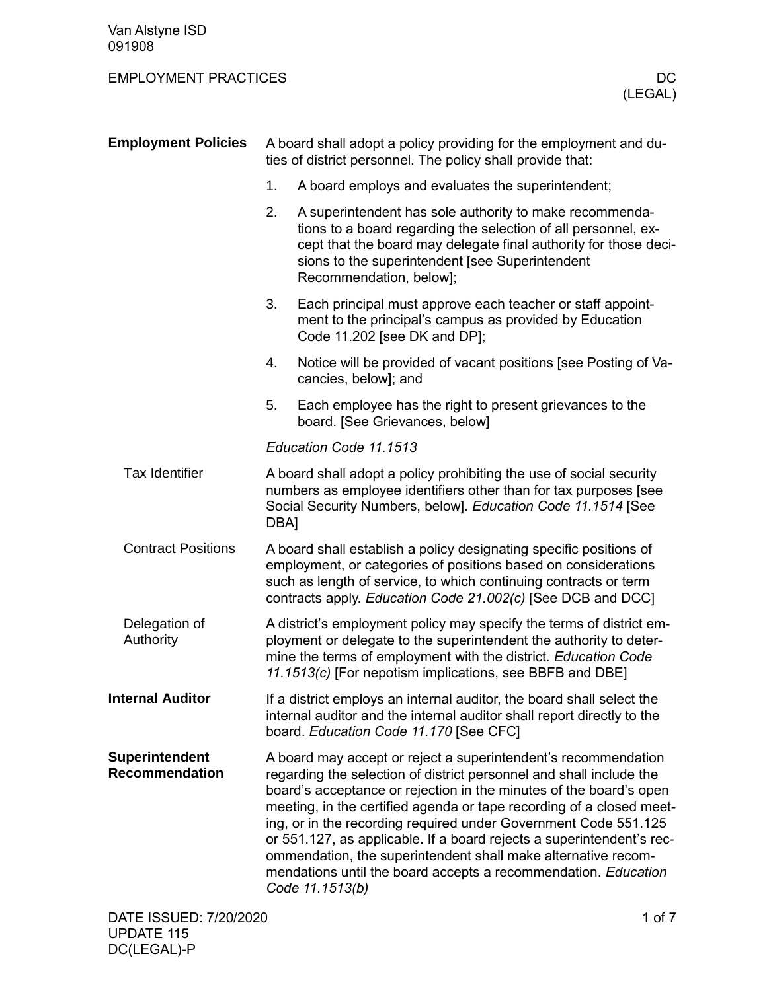| <b>Employment Policies</b>              | A board shall adopt a policy providing for the employment and du-<br>ties of district personnel. The policy shall provide that:                                                                                                                                          |                                                                                                                                                                                                                                                                                                                                                                                                                                                                                                                                                                                       |  |  |
|-----------------------------------------|--------------------------------------------------------------------------------------------------------------------------------------------------------------------------------------------------------------------------------------------------------------------------|---------------------------------------------------------------------------------------------------------------------------------------------------------------------------------------------------------------------------------------------------------------------------------------------------------------------------------------------------------------------------------------------------------------------------------------------------------------------------------------------------------------------------------------------------------------------------------------|--|--|
|                                         | 1.                                                                                                                                                                                                                                                                       | A board employs and evaluates the superintendent;                                                                                                                                                                                                                                                                                                                                                                                                                                                                                                                                     |  |  |
|                                         | 2.                                                                                                                                                                                                                                                                       | A superintendent has sole authority to make recommenda-<br>tions to a board regarding the selection of all personnel, ex-<br>cept that the board may delegate final authority for those deci-<br>sions to the superintendent [see Superintendent<br>Recommendation, below];                                                                                                                                                                                                                                                                                                           |  |  |
|                                         | 3.                                                                                                                                                                                                                                                                       | Each principal must approve each teacher or staff appoint-<br>ment to the principal's campus as provided by Education<br>Code 11.202 [see DK and DP];                                                                                                                                                                                                                                                                                                                                                                                                                                 |  |  |
|                                         | 4.                                                                                                                                                                                                                                                                       | Notice will be provided of vacant positions [see Posting of Va-<br>cancies, below]; and                                                                                                                                                                                                                                                                                                                                                                                                                                                                                               |  |  |
|                                         | 5.                                                                                                                                                                                                                                                                       | Each employee has the right to present grievances to the<br>board. [See Grievances, below]                                                                                                                                                                                                                                                                                                                                                                                                                                                                                            |  |  |
|                                         |                                                                                                                                                                                                                                                                          | Education Code 11.1513                                                                                                                                                                                                                                                                                                                                                                                                                                                                                                                                                                |  |  |
| <b>Tax Identifier</b>                   | A board shall adopt a policy prohibiting the use of social security<br>numbers as employee identifiers other than for tax purposes [see<br>Social Security Numbers, below]. Education Code 11.1514 [See<br>DBA]                                                          |                                                                                                                                                                                                                                                                                                                                                                                                                                                                                                                                                                                       |  |  |
| <b>Contract Positions</b>               | A board shall establish a policy designating specific positions of<br>employment, or categories of positions based on considerations<br>such as length of service, to which continuing contracts or term<br>contracts apply. Education Code 21.002(c) [See DCB and DCC]  |                                                                                                                                                                                                                                                                                                                                                                                                                                                                                                                                                                                       |  |  |
| Delegation of<br>Authority              | A district's employment policy may specify the terms of district em-<br>ployment or delegate to the superintendent the authority to deter-<br>mine the terms of employment with the district. Education Code<br>11.1513(c) [For nepotism implications, see BBFB and DBE] |                                                                                                                                                                                                                                                                                                                                                                                                                                                                                                                                                                                       |  |  |
| <b>Internal Auditor</b>                 |                                                                                                                                                                                                                                                                          | If a district employs an internal auditor, the board shall select the<br>internal auditor and the internal auditor shall report directly to the<br>board. Education Code 11.170 [See CFC]                                                                                                                                                                                                                                                                                                                                                                                             |  |  |
| Superintendent<br><b>Recommendation</b> |                                                                                                                                                                                                                                                                          | A board may accept or reject a superintendent's recommendation<br>regarding the selection of district personnel and shall include the<br>board's acceptance or rejection in the minutes of the board's open<br>meeting, in the certified agenda or tape recording of a closed meet-<br>ing, or in the recording required under Government Code 551.125<br>or 551.127, as applicable. If a board rejects a superintendent's rec-<br>ommendation, the superintendent shall make alternative recom-<br>mendations until the board accepts a recommendation. Education<br>Code 11.1513(b) |  |  |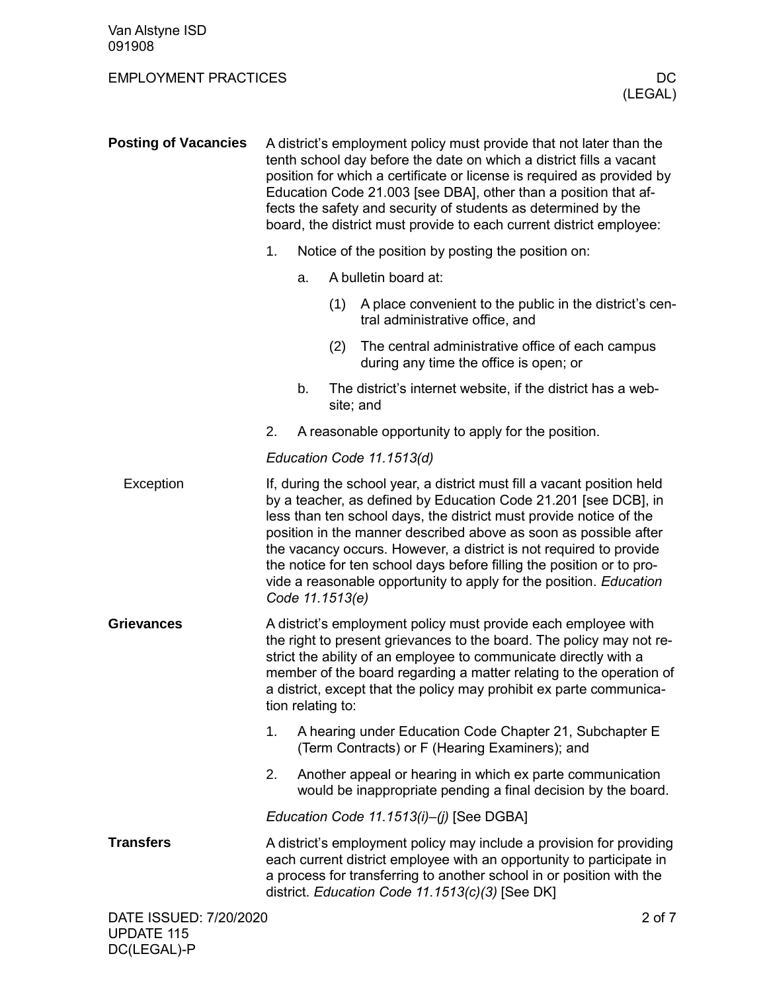UPDATE 115 DC(LEGAL)-P

| <b>Posting of Vacancies</b> | A district's employment policy must provide that not later than the<br>tenth school day before the date on which a district fills a vacant<br>position for which a certificate or license is required as provided by<br>Education Code 21.003 [see DBA], other than a position that af-<br>fects the safety and security of students as determined by the<br>board, the district must provide to each current district employee: |                                                                                                           |     |                                                                                                                                                                                                                                                                                                                                                                                                                                                                                                           |  |
|-----------------------------|----------------------------------------------------------------------------------------------------------------------------------------------------------------------------------------------------------------------------------------------------------------------------------------------------------------------------------------------------------------------------------------------------------------------------------|-----------------------------------------------------------------------------------------------------------|-----|-----------------------------------------------------------------------------------------------------------------------------------------------------------------------------------------------------------------------------------------------------------------------------------------------------------------------------------------------------------------------------------------------------------------------------------------------------------------------------------------------------------|--|
|                             | 1.                                                                                                                                                                                                                                                                                                                                                                                                                               |                                                                                                           |     | Notice of the position by posting the position on:                                                                                                                                                                                                                                                                                                                                                                                                                                                        |  |
|                             |                                                                                                                                                                                                                                                                                                                                                                                                                                  | a.                                                                                                        |     | A bulletin board at:                                                                                                                                                                                                                                                                                                                                                                                                                                                                                      |  |
|                             |                                                                                                                                                                                                                                                                                                                                                                                                                                  |                                                                                                           | (1) | A place convenient to the public in the district's cen-<br>tral administrative office, and                                                                                                                                                                                                                                                                                                                                                                                                                |  |
|                             |                                                                                                                                                                                                                                                                                                                                                                                                                                  |                                                                                                           | (2) | The central administrative office of each campus<br>during any time the office is open; or                                                                                                                                                                                                                                                                                                                                                                                                                |  |
|                             |                                                                                                                                                                                                                                                                                                                                                                                                                                  | b.                                                                                                        |     | The district's internet website, if the district has a web-<br>site; and                                                                                                                                                                                                                                                                                                                                                                                                                                  |  |
|                             | 2.                                                                                                                                                                                                                                                                                                                                                                                                                               |                                                                                                           |     | A reasonable opportunity to apply for the position.                                                                                                                                                                                                                                                                                                                                                                                                                                                       |  |
|                             |                                                                                                                                                                                                                                                                                                                                                                                                                                  | Education Code 11.1513(d)                                                                                 |     |                                                                                                                                                                                                                                                                                                                                                                                                                                                                                                           |  |
| Exception                   |                                                                                                                                                                                                                                                                                                                                                                                                                                  | Code 11.1513(e)                                                                                           |     | If, during the school year, a district must fill a vacant position held<br>by a teacher, as defined by Education Code 21.201 [see DCB], in<br>less than ten school days, the district must provide notice of the<br>position in the manner described above as soon as possible after<br>the vacancy occurs. However, a district is not required to provide<br>the notice for ten school days before filling the position or to pro-<br>vide a reasonable opportunity to apply for the position. Education |  |
| <b>Grievances</b>           | A district's employment policy must provide each employee with<br>the right to present grievances to the board. The policy may not re-<br>strict the ability of an employee to communicate directly with a<br>member of the board regarding a matter relating to the operation of<br>a district, except that the policy may prohibit ex parte communica-<br>tion relating to:                                                    |                                                                                                           |     |                                                                                                                                                                                                                                                                                                                                                                                                                                                                                                           |  |
|                             | 1.                                                                                                                                                                                                                                                                                                                                                                                                                               | A hearing under Education Code Chapter 21, Subchapter E<br>(Term Contracts) or F (Hearing Examiners); and |     |                                                                                                                                                                                                                                                                                                                                                                                                                                                                                                           |  |
|                             | 2.                                                                                                                                                                                                                                                                                                                                                                                                                               |                                                                                                           |     | Another appeal or hearing in which ex parte communication<br>would be inappropriate pending a final decision by the board.                                                                                                                                                                                                                                                                                                                                                                                |  |
|                             | Education Code 11.1513(i)-(j) [See DGBA]                                                                                                                                                                                                                                                                                                                                                                                         |                                                                                                           |     |                                                                                                                                                                                                                                                                                                                                                                                                                                                                                                           |  |
| <b>Transfers</b>            |                                                                                                                                                                                                                                                                                                                                                                                                                                  |                                                                                                           |     | A district's employment policy may include a provision for providing<br>each current district employee with an opportunity to participate in<br>a process for transferring to another school in or position with the<br>district. Education Code 11.1513(c)(3) [See DK]                                                                                                                                                                                                                                   |  |
| DATE ISSUED: 7/20/2020      |                                                                                                                                                                                                                                                                                                                                                                                                                                  |                                                                                                           |     | 2 of 7                                                                                                                                                                                                                                                                                                                                                                                                                                                                                                    |  |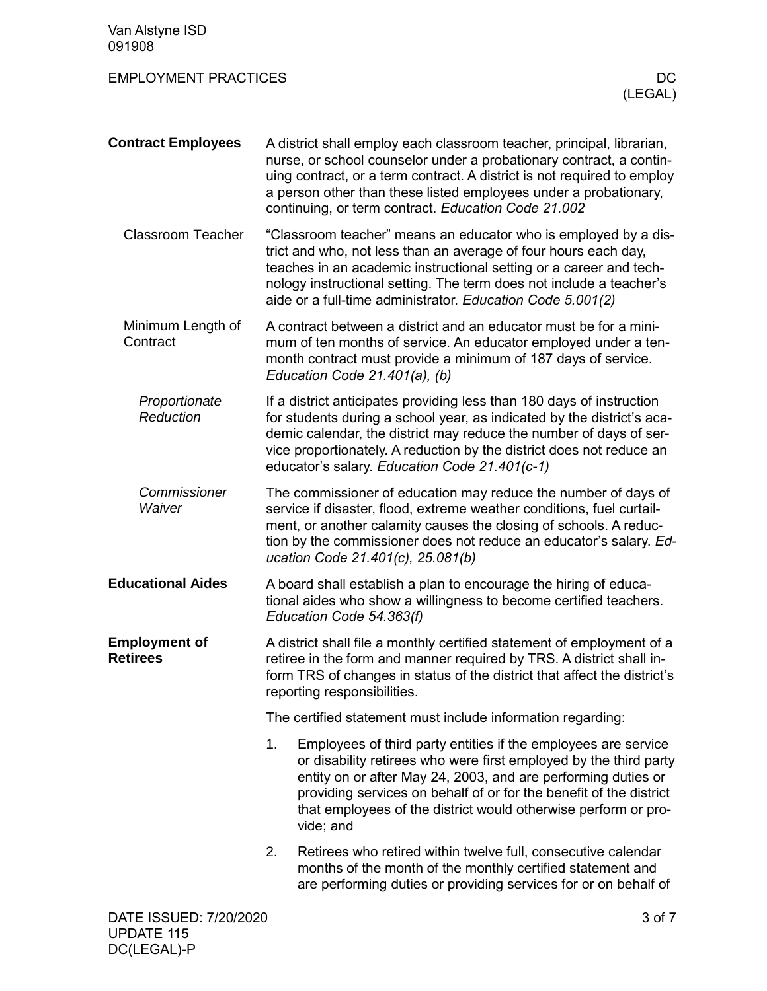| Van Alstyne ISD<br>091908               |                                                                                                                                                                                                                                                                                                                                                                 |  |  |
|-----------------------------------------|-----------------------------------------------------------------------------------------------------------------------------------------------------------------------------------------------------------------------------------------------------------------------------------------------------------------------------------------------------------------|--|--|
| <b>EMPLOYMENT PRACTICES</b>             | DC.<br>(LEGAL)                                                                                                                                                                                                                                                                                                                                                  |  |  |
| <b>Contract Employees</b>               | A district shall employ each classroom teacher, principal, librarian,<br>nurse, or school counselor under a probationary contract, a contin-<br>uing contract, or a term contract. A district is not required to employ<br>a person other than these listed employees under a probationary,<br>continuing, or term contract. Education Code 21.002              |  |  |
| <b>Classroom Teacher</b>                | "Classroom teacher" means an educator who is employed by a dis-<br>trict and who, not less than an average of four hours each day,<br>teaches in an academic instructional setting or a career and tech-<br>nology instructional setting. The term does not include a teacher's<br>aide or a full-time administrator. Education Code 5.001(2)                   |  |  |
| Minimum Length of<br>Contract           | A contract between a district and an educator must be for a mini-<br>mum of ten months of service. An educator employed under a ten-<br>month contract must provide a minimum of 187 days of service.<br>Education Code 21.401(a), (b)                                                                                                                          |  |  |
| Proportionate<br>Reduction              | If a district anticipates providing less than 180 days of instruction<br>for students during a school year, as indicated by the district's aca-<br>demic calendar, the district may reduce the number of days of ser-<br>vice proportionately. A reduction by the district does not reduce an<br>educator's salary. Education Code 21.401(c-1)                  |  |  |
| Commissioner<br>Waiver                  | The commissioner of education may reduce the number of days of<br>service if disaster, flood, extreme weather conditions, fuel curtail-<br>ment, or another calamity causes the closing of schools. A reduc-<br>tion by the commissioner does not reduce an educator's salary. Ed-<br>ucation Code 21.401(c), 25.081(b)                                         |  |  |
| <b>Educational Aides</b>                | A board shall establish a plan to encourage the hiring of educa-<br>tional aides who show a willingness to become certified teachers.<br>Education Code 54.363(f)                                                                                                                                                                                               |  |  |
| <b>Employment of</b><br><b>Retirees</b> | A district shall file a monthly certified statement of employment of a<br>retiree in the form and manner required by TRS. A district shall in-<br>form TRS of changes in status of the district that affect the district's<br>reporting responsibilities.                                                                                                       |  |  |
|                                         | The certified statement must include information regarding:                                                                                                                                                                                                                                                                                                     |  |  |
|                                         | 1.<br>Employees of third party entities if the employees are service<br>or disability retirees who were first employed by the third party<br>entity on or after May 24, 2003, and are performing duties or<br>providing services on behalf of or for the benefit of the district<br>that employees of the district would otherwise perform or pro-<br>vide; and |  |  |
|                                         | 2.<br>Retirees who retired within twelve full, consecutive calendar<br>months of the month of the monthly certified statement and<br>are performing duties or providing services for or on behalf of                                                                                                                                                            |  |  |
| DATE ISSUED: 7/20/2020                  | 3 of 7                                                                                                                                                                                                                                                                                                                                                          |  |  |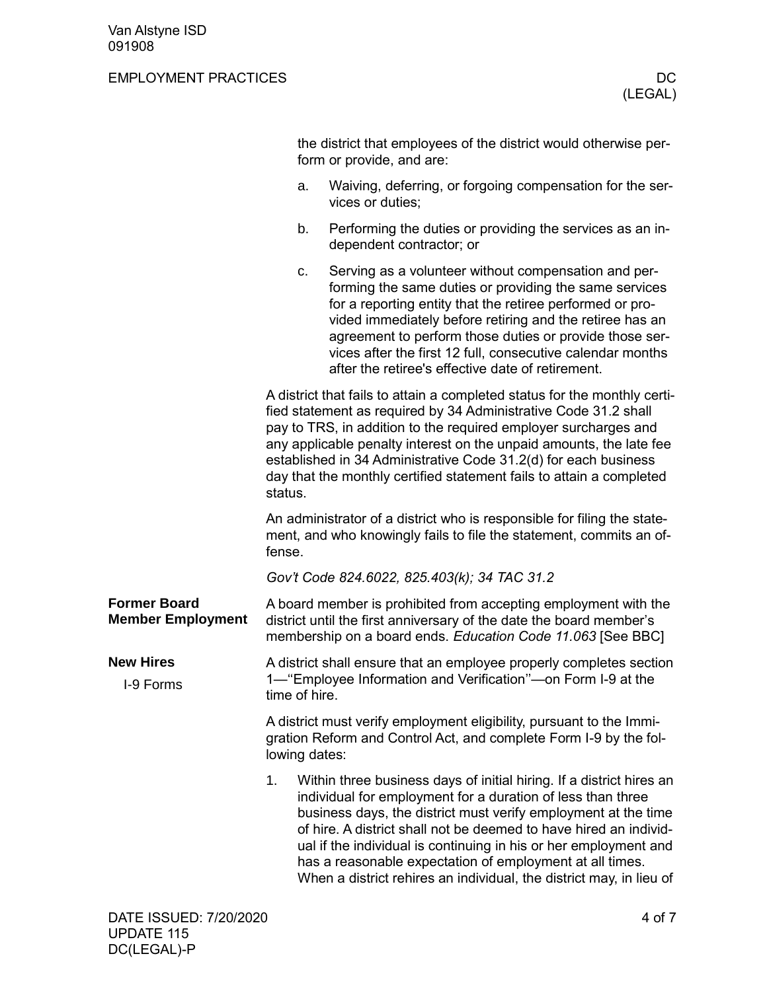|                                                 |               | the district that employees of the district would otherwise per-<br>form or provide, and are:                                                                                                                                                                                                                                                                                                                                                                                     |
|-------------------------------------------------|---------------|-----------------------------------------------------------------------------------------------------------------------------------------------------------------------------------------------------------------------------------------------------------------------------------------------------------------------------------------------------------------------------------------------------------------------------------------------------------------------------------|
|                                                 | a.            | Waiving, deferring, or forgoing compensation for the ser-<br>vices or duties;                                                                                                                                                                                                                                                                                                                                                                                                     |
|                                                 | b.            | Performing the duties or providing the services as an in-<br>dependent contractor; or                                                                                                                                                                                                                                                                                                                                                                                             |
|                                                 | c.            | Serving as a volunteer without compensation and per-<br>forming the same duties or providing the same services<br>for a reporting entity that the retiree performed or pro-<br>vided immediately before retiring and the retiree has an<br>agreement to perform those duties or provide those ser-<br>vices after the first 12 full, consecutive calendar months<br>after the retiree's effective date of retirement.                                                             |
|                                                 | status.       | A district that fails to attain a completed status for the monthly certi-<br>fied statement as required by 34 Administrative Code 31.2 shall<br>pay to TRS, in addition to the required employer surcharges and<br>any applicable penalty interest on the unpaid amounts, the late fee<br>established in 34 Administrative Code 31.2(d) for each business<br>day that the monthly certified statement fails to attain a completed                                                 |
|                                                 | fense.        | An administrator of a district who is responsible for filing the state-<br>ment, and who knowingly fails to file the statement, commits an of-                                                                                                                                                                                                                                                                                                                                    |
|                                                 |               | Gov't Code 824.6022, 825.403(k); 34 TAC 31.2                                                                                                                                                                                                                                                                                                                                                                                                                                      |
| <b>Former Board</b><br><b>Member Employment</b> |               | A board member is prohibited from accepting employment with the<br>district until the first anniversary of the date the board member's<br>membership on a board ends. Education Code 11.063 [See BBC]                                                                                                                                                                                                                                                                             |
| <b>New Hires</b><br>I-9 Forms                   | time of hire. | A district shall ensure that an employee properly completes section<br>1— "Employee Information and Verification"—on Form I-9 at the                                                                                                                                                                                                                                                                                                                                              |
|                                                 | lowing dates: | A district must verify employment eligibility, pursuant to the Immi-<br>gration Reform and Control Act, and complete Form I-9 by the fol-                                                                                                                                                                                                                                                                                                                                         |
|                                                 | 1.            | Within three business days of initial hiring. If a district hires an<br>individual for employment for a duration of less than three<br>business days, the district must verify employment at the time<br>of hire. A district shall not be deemed to have hired an individ-<br>ual if the individual is continuing in his or her employment and<br>has a reasonable expectation of employment at all times.<br>When a district rehires an individual, the district may, in lieu of |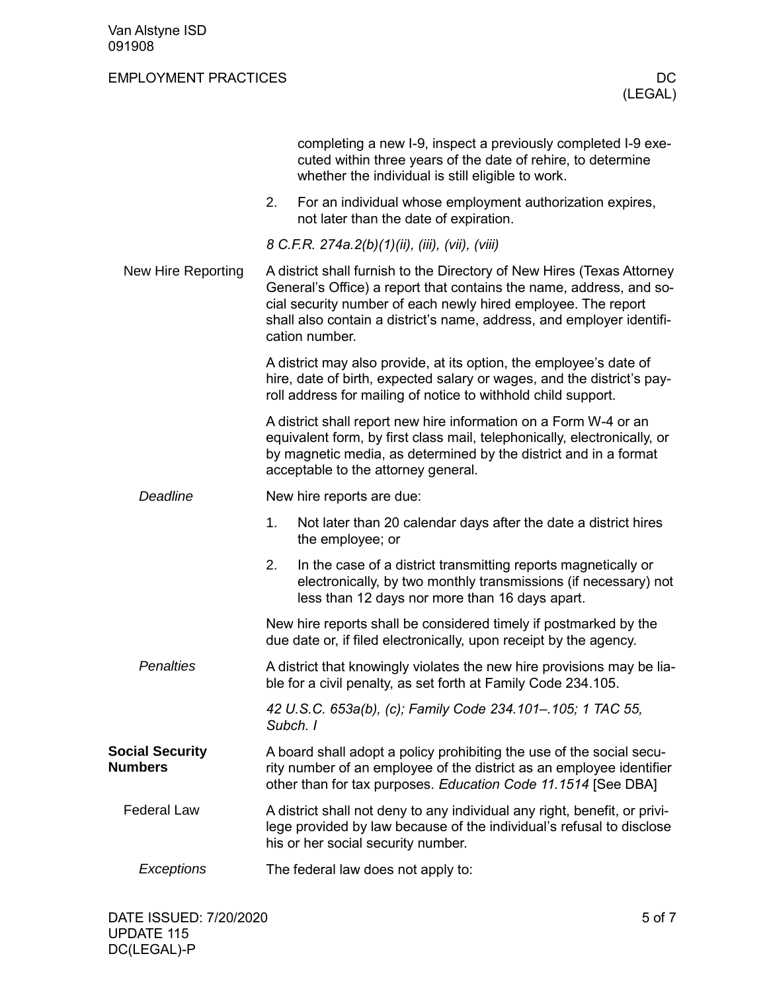|                                          |                                                                                                                                                                                                                                                                                                           | completing a new I-9, inspect a previously completed I-9 exe-<br>cuted within three years of the date of rehire, to determine<br>whether the individual is still eligible to work.                            |  |  |
|------------------------------------------|-----------------------------------------------------------------------------------------------------------------------------------------------------------------------------------------------------------------------------------------------------------------------------------------------------------|---------------------------------------------------------------------------------------------------------------------------------------------------------------------------------------------------------------|--|--|
|                                          | 2.                                                                                                                                                                                                                                                                                                        | For an individual whose employment authorization expires,<br>not later than the date of expiration.                                                                                                           |  |  |
|                                          |                                                                                                                                                                                                                                                                                                           | 8 C.F.R. 274a.2(b)(1)(ii), (iii), (vii), (viii)                                                                                                                                                               |  |  |
| New Hire Reporting                       | A district shall furnish to the Directory of New Hires (Texas Attorney<br>General's Office) a report that contains the name, address, and so-<br>cial security number of each newly hired employee. The report<br>shall also contain a district's name, address, and employer identifi-<br>cation number. |                                                                                                                                                                                                               |  |  |
|                                          |                                                                                                                                                                                                                                                                                                           | A district may also provide, at its option, the employee's date of<br>hire, date of birth, expected salary or wages, and the district's pay-<br>roll address for mailing of notice to withhold child support. |  |  |
|                                          | A district shall report new hire information on a Form W-4 or an<br>equivalent form, by first class mail, telephonically, electronically, or<br>by magnetic media, as determined by the district and in a format<br>acceptable to the attorney general.                                                   |                                                                                                                                                                                                               |  |  |
| <b>Deadline</b>                          | New hire reports are due:                                                                                                                                                                                                                                                                                 |                                                                                                                                                                                                               |  |  |
|                                          | 1.                                                                                                                                                                                                                                                                                                        | Not later than 20 calendar days after the date a district hires<br>the employee; or                                                                                                                           |  |  |
|                                          | 2.                                                                                                                                                                                                                                                                                                        | In the case of a district transmitting reports magnetically or<br>electronically, by two monthly transmissions (if necessary) not<br>less than 12 days nor more than 16 days apart.                           |  |  |
|                                          | New hire reports shall be considered timely if postmarked by the<br>due date or, if filed electronically, upon receipt by the agency.                                                                                                                                                                     |                                                                                                                                                                                                               |  |  |
| <b>Penalties</b>                         | A district that knowingly violates the new hire provisions may be lia-<br>ble for a civil penalty, as set forth at Family Code 234.105.                                                                                                                                                                   |                                                                                                                                                                                                               |  |  |
|                                          | 42 U.S.C. 653a(b), (c); Family Code 234.101-.105; 1 TAC 55,<br>Subch. I                                                                                                                                                                                                                                   |                                                                                                                                                                                                               |  |  |
| <b>Social Security</b><br><b>Numbers</b> | A board shall adopt a policy prohibiting the use of the social secu-<br>rity number of an employee of the district as an employee identifier<br>other than for tax purposes. Education Code 11.1514 [See DBA]                                                                                             |                                                                                                                                                                                                               |  |  |
| <b>Federal Law</b>                       |                                                                                                                                                                                                                                                                                                           | A district shall not deny to any individual any right, benefit, or privi-<br>lege provided by law because of the individual's refusal to disclose<br>his or her social security number.                       |  |  |
| Exceptions                               |                                                                                                                                                                                                                                                                                                           | The federal law does not apply to:                                                                                                                                                                            |  |  |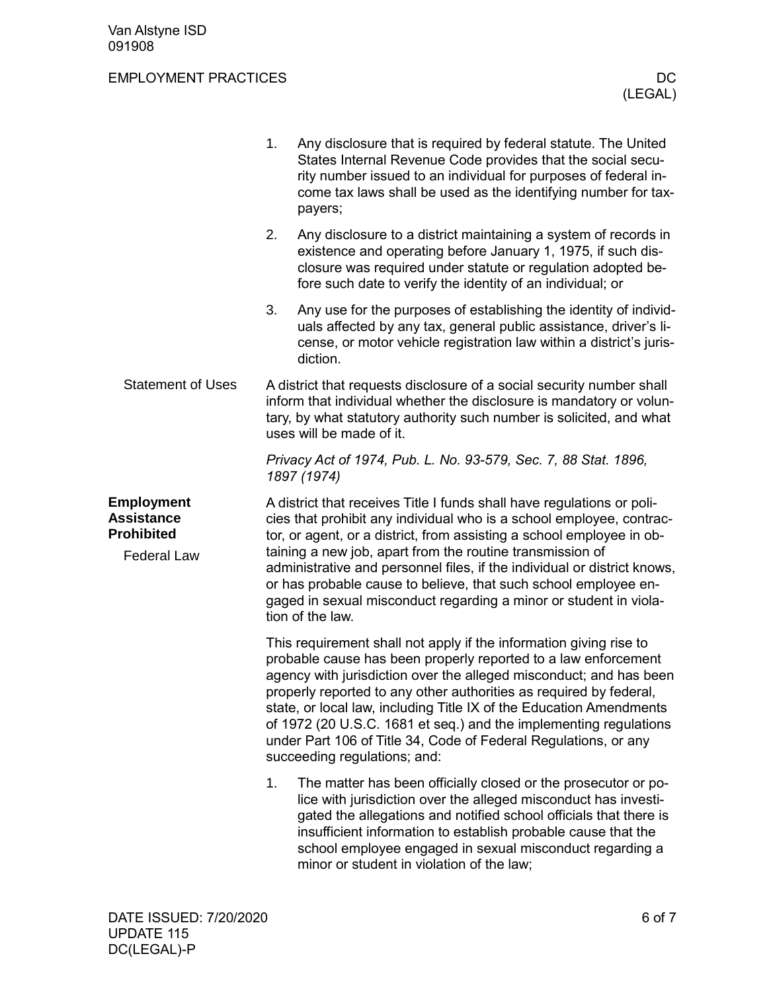|                                                                                   | 1.                                                                                                                                                                                                                                                                                                                                                                                                                                                                                                                              | Any disclosure that is required by federal statute. The United<br>States Internal Revenue Code provides that the social secu-<br>rity number issued to an individual for purposes of federal in-<br>come tax laws shall be used as the identifying number for tax-<br>payers;                                                                                                    |  |  |
|-----------------------------------------------------------------------------------|---------------------------------------------------------------------------------------------------------------------------------------------------------------------------------------------------------------------------------------------------------------------------------------------------------------------------------------------------------------------------------------------------------------------------------------------------------------------------------------------------------------------------------|----------------------------------------------------------------------------------------------------------------------------------------------------------------------------------------------------------------------------------------------------------------------------------------------------------------------------------------------------------------------------------|--|--|
|                                                                                   | 2.                                                                                                                                                                                                                                                                                                                                                                                                                                                                                                                              | Any disclosure to a district maintaining a system of records in<br>existence and operating before January 1, 1975, if such dis-<br>closure was required under statute or regulation adopted be-<br>fore such date to verify the identity of an individual; or                                                                                                                    |  |  |
|                                                                                   | 3.                                                                                                                                                                                                                                                                                                                                                                                                                                                                                                                              | Any use for the purposes of establishing the identity of individ-<br>uals affected by any tax, general public assistance, driver's li-<br>cense, or motor vehicle registration law within a district's juris-<br>diction.                                                                                                                                                        |  |  |
| <b>Statement of Uses</b>                                                          |                                                                                                                                                                                                                                                                                                                                                                                                                                                                                                                                 | A district that requests disclosure of a social security number shall<br>inform that individual whether the disclosure is mandatory or volun-<br>tary, by what statutory authority such number is solicited, and what<br>uses will be made of it.                                                                                                                                |  |  |
|                                                                                   | Privacy Act of 1974, Pub. L. No. 93-579, Sec. 7, 88 Stat. 1896,<br>1897 (1974)                                                                                                                                                                                                                                                                                                                                                                                                                                                  |                                                                                                                                                                                                                                                                                                                                                                                  |  |  |
| <b>Employment</b><br><b>Assistance</b><br><b>Prohibited</b><br><b>Federal Law</b> | A district that receives Title I funds shall have regulations or poli-<br>cies that prohibit any individual who is a school employee, contrac-<br>tor, or agent, or a district, from assisting a school employee in ob-<br>taining a new job, apart from the routine transmission of<br>administrative and personnel files, if the individual or district knows,                                                                                                                                                                |                                                                                                                                                                                                                                                                                                                                                                                  |  |  |
|                                                                                   |                                                                                                                                                                                                                                                                                                                                                                                                                                                                                                                                 | or has probable cause to believe, that such school employee en-<br>gaged in sexual misconduct regarding a minor or student in viola-<br>tion of the law.                                                                                                                                                                                                                         |  |  |
|                                                                                   | This requirement shall not apply if the information giving rise to<br>probable cause has been properly reported to a law enforcement<br>agency with jurisdiction over the alleged misconduct; and has been<br>properly reported to any other authorities as required by federal.<br>state, or local law, including Title IX of the Education Amendments<br>of 1972 (20 U.S.C. 1681 et seq.) and the implementing regulations<br>under Part 106 of Title 34, Code of Federal Regulations, or any<br>succeeding regulations; and: |                                                                                                                                                                                                                                                                                                                                                                                  |  |  |
|                                                                                   | 1.                                                                                                                                                                                                                                                                                                                                                                                                                                                                                                                              | The matter has been officially closed or the prosecutor or po-<br>lice with jurisdiction over the alleged misconduct has investi-<br>gated the allegations and notified school officials that there is<br>insufficient information to establish probable cause that the<br>school employee engaged in sexual misconduct regarding a<br>minor or student in violation of the law; |  |  |